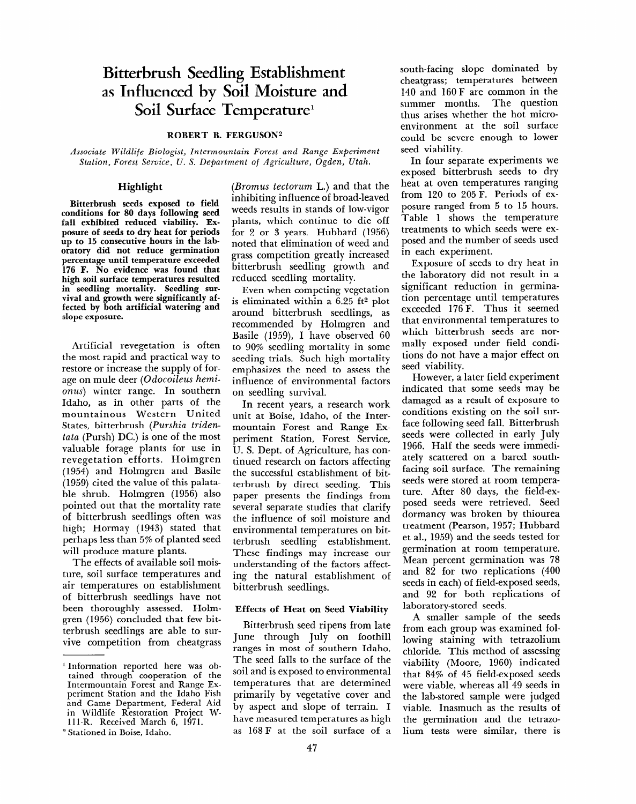# **Bitterbrush Seedling Establishment as Influenced by Soil Moisture and Soil Surface Temperature'**

ROBERT B. FERGUSON<sup>2</sup>

*Associate Wildlife Biologist, In termoun tain Forest and Range Experiment Station, Forest Service, U. S. Department of Agriculture, Ogden, Utah.* 

# **Highlight**

Bitterbrush seeds exposed to field conditions for 80 days following seed fall exhibited reduced viability. Exposure of seeds to dry heat for periods up to 15 consecutive hours in the laboratory did not reduce germination percentage until temperature exceeded 176 F. No evidence was found that high soil surface temperatures resulted in seedling mortality. Seedling survival and growth were significantly affected by both artificial watering and slope exposure.

Artificial revegetation is often the most rapid and practical way to restore or increase the supply of forage on mule deer *(Odocoileus hemionus)* winter range. In southern Idaho, as in other parts of the mountainous Western United States, bitterbrush *(Purshia tridentutu* (Pursh) DC.) is one of the most valuable forage plants for use in revegetation efforts. Holmgren (1954) and Holmgren and Basile (1959) cited the value of this palata- $\frac{1000}{1}$  holmes (1956) also pic sinup. Homigren (1999) and pointed out that the mortality rate<br>of bitterbrush seedlings often was high; Hormay (1943) stated that  $\sum_{i=1}^{\infty}$ perhaps less than 5% of planted seed<br>will produce mature plants. n product mature plants.

the chects of available soil moisture, soil surface temperatures and air temperatures on establishment of bitterbrush seedlings have not been thoroughly assessed. Holmgren (1956) concluded that few bitterbrush seedlings are able to survive competition from cheatgrass

*(Bromus tectorum* L.) and that the inhibiting influence of broad-leaved weeds results in stands of low-vigor plants, which continue to die off for 2 or 3 years. Hubbard (1956) noted that elimination of weed and grass competition greatly increased bitterbrush seedling growth and reduced seedling mortality.

Even when competing vegetation is eliminated within a 6.25 ft2 plot around bitterbrush seedlings, as recommended by Holmgren and Basile (1959), I have observed 60 to 90% seedling mortality in some seeding trials. Such high mortality emphasizes the need to assess the influence of environmental factors on seedling survival.

In recent years, a research work unit at Boise, Idaho, of the Intermountain Forest and Range Experiment Station, Forest Service, U. S. Dept. of Agriculture, has continued research on factors affecting the successful establishment of bitterbrush by direct seeding. This paper presents the findings from paper presence in mange non ocyclar ocparate otacaco inat claimy ence innuence of son moisture and terbrush seedling establishment. terbrush securing establishment. increase interests and the factors and understanding of the factors affecting the natural establishment of<br>bitterbrush seedlings.

#### Effects of Heat on Seed Viability

Bitterbrush seed ripens from late Bruerbrush seed ripens from factorial seed the south in the July on foothil ranges in most of southern Idaho. The seed falls to the surface of the soil and is exposed to environmental temperatures that are determined primarily by vegetative cover and by aspect and slope of terrain. I have measured temperatures as high<br>as 168 F at the soil surface of a south-facing slope dominated by cheatgrass; temperatures between 140 and 160 F are common in the summer months. The question thus arises whether the hot microenvironment at the soil surface could be severe enough to lower seed viability.

In four separate experiments we exposed bitterbrush seeds to dry heat at oven temperatures ranging from 120 to *205* F. Periods of exposure ranged from *5* to 15 hours. Table 1 shows the temperature treatments to which seeds were exposed and the number of seeds used in each experiment.

Exposure of seeds to dry heat in the laboratory did not result in a significant reduction in germination percentage until temperatures exceeded 176 F. Thus it seemed that environmental temperatures to which bitterbrush seeds are normally exposed under field conditions do not have a major effect on seed viability.

However, a later field experiment indicated that some seeds may be damaged as a result of exposure to conditions existing on the soil surface following seed fall. Bitterbrush seeds were collected in early July 1966. Half the seeds were immediately scattered on a bared southfacing soil surface. The remaining seeds were stored at room temperature. After 80 days, the field-exposed seeds were retrieved. Seed dormancy was broken by thiourea dormancy was broken by thiourea<br>treatment (Pearson, 1957; Hubbard et al., 1959) and the seeds tested for germination at room temperature. Mean percent germination was *78*  mean percent germination was re and  $\sigma$  for two represents (100 seeds in each) of field-exposed seeds, and 92 for both replications of laboratory-stored seeds.

A smaller sample of the seeds from each group was examined following staining with tetrazolium chloride. This method of assessing viability (Moore, 1960) indicated that  $84\%$  of  $45$  field-exposed seeds were viable, whereas all 49 seeds in the lab-stored sample were judged viable. Inasmuch as the results of the germination and the tetrazo-<br>lium tests were similar, there is

l Information reported here was ob-<sup>1</sup> Information reported here was obtained through cooperation of the Intermountain Forest and Range Experiment Station and the Idaho Fish and Game Department, Federal Aid in Wildlife Restoration Project W-111-R. Received March 6, 1971.

<sup>&</sup>lt;sup>2</sup> Stationed in Boise. Idaho.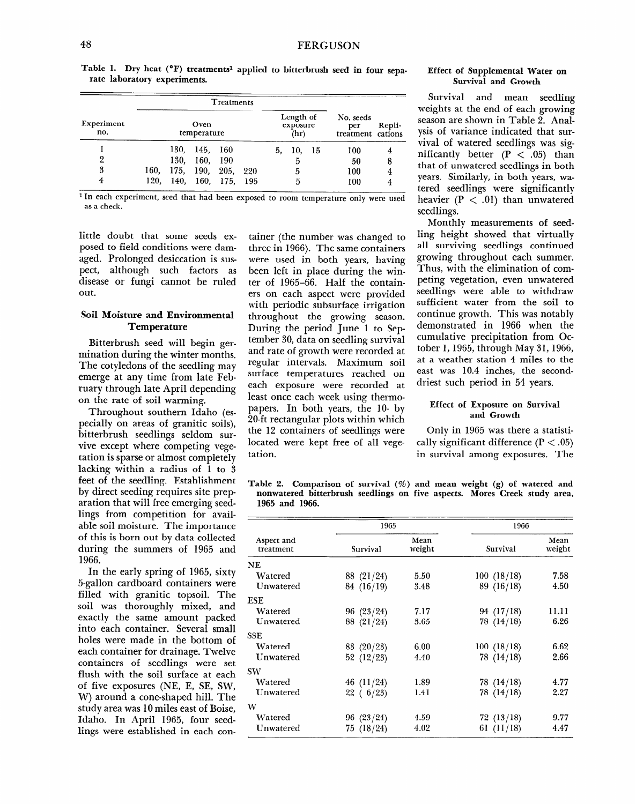Table 1. Dry heat ( $^{\circ}$ F) treatments<sup>1</sup> applied to bitterbrush seed in four sepa**rate laboratory experiments.** 

|                   |                     |      | No. seeds<br>per<br>treatment cations | Repli-             |     |                               |     |      |     |   |
|-------------------|---------------------|------|---------------------------------------|--------------------|-----|-------------------------------|-----|------|-----|---|
| Experiment<br>no. | Oven<br>temperature |      |                                       |                    |     | Length of<br>exposure<br>(hr) |     |      |     |   |
|                   |                     | 130. | 145, 160                              |                    |     | 5.                            | 10. | - 15 | 100 |   |
| 2                 |                     | 130. | 160, 190                              |                    |     |                               | 5   |      | 50  | 8 |
| 3                 | 160.                |      |                                       | 175, 190, 205,     | 220 |                               | 5   |      | 100 |   |
| 4                 | 120.                |      |                                       | 140, 160, 175, 195 |     |                               | 5   |      | 100 |   |

**1 In each experiment, seed that had been exposed to room temperature only were used**  as **a check.** 

little doubt that some seeds exposed to field conditions were **dam**aged. Prolonged desiccation is suspect, although such factors as disease or fungi cannot be ruled out.

# **Soil Moisture and Environmental Temperature**

**Bitterbrush seed will begin germination during the winter months.**  The cotyledons of the seedling may emerge at any time from late February through late April depending on the rate of soil warming.

Throughout southern Idaho (especially on areas of granitic soils), bitterbrush seedlings seldom survive except where competing vegetation is sparse or almost completely tation is sparse or almost completely<br>lacking within a radius of 1 to 3 feet of the seedling. Establishment by direct seeding. Establishment by direct seeding requires site preparation that will free emerging seedlings from competition for available soil moisture. The importance of this is born out by data collected during the summers of 1965 and<br>1966. UU,<br>The early spring of 1965, sixty

 $\frac{1}{2}$  and the carry spring of 1500, sixty 5-gallon cardboard containers were filled with granitic topsoil. The soil was thoroughly mixed, and exactly the same amount packed into each container. Several small holes were made in the bottom of each container for drainage. Twelve containers of seedlings were set flush with the soil surface at each of five exposures (NE, E, SE, SW, W) around a cone-shaped hill. The study area was 10 miles east of Boise, Idaho. In April 1965, four seed-<br>lings were established in each con-

tainer (the number was changed to three in 1966). The same containers were used in both years, having been left in place during the winter of 1965-66. Half the containers on each aspect were provided with periodic subsurface irrigation throughout the growing season. During the period June 1 to September 30, data on seedling survival and rate of growth were recorded at regular intervals. Maximum soil surface temperatures reached on each exposure were recorded at least once each week using thermopapers. In both years, the IO- by ZO-ft rectangular plots within which the 12 containers of seedlings were located were kept free of all vegetation.

#### **Effect of Supplemental Water on Survival and Growth**

Survival and mean seedling weights at the end of each growing season are shown in Table 2. Analysis of variance indicated that survival of watered seedlings was significantly better  $(P < .05)$  than that of unwatered seedlings in both years. Similarly, in both years, watered seedlings were significantly heavier  $(P < .01)$  than unwatered seedlings.

Monthly measurements of seedling height showed that virtually all surviving seedlings continued growing throughout each summer. Thus, with the elimination of competing vegetation, even unwatered seedlings were able to withdraw sufficient water from the soil to continue growth. This was notably demonstrated in 1966 when the cumulative precipitation from October 1,1965, through May 31,1966, at a weather station 4 miles to the east was 10.4 inches, the seconddriest such period in 54 years.

#### **Effect of Exposure on Survival and Growth**

**Only in 1965 was there a statisti**cally significant difference  $(P < .05)$ in survival among exposures. The

**Table 2. Comparison of survival (%) and mean weight (g) of watered and**  abie 2. Comparison of survivar (%) and mean weight (g) of watered and nonwatered bitterbrush seedlings on five aspects. Mores Creek study area, 1965 and 1966.

|                         | 1965         |                | 1966        |                |  |
|-------------------------|--------------|----------------|-------------|----------------|--|
| Aspect and<br>treatment | Survival     | Mean<br>weight | Survival    | Mean<br>weight |  |
| <b>NE</b>               |              |                |             |                |  |
| Watered                 | 88 (21/24)   | 5.50           | 100(18/18)  | 7.58           |  |
| Unwatered               | 84 (16/19)   | 3.48           | 89(16/18)   | 4.50           |  |
| <b>ESE</b>              |              |                |             |                |  |
| Watered                 | 96(23/24)    | 7.17           | 94 (17/18)  | 11.11          |  |
| Unwatered               | 88 (21/24)   | 3.65           | 78(14/18)   | 6.26           |  |
| <b>SSE</b>              |              |                |             |                |  |
| Watered                 | 83 $(20/23)$ | 6.00           | 100 (18/18) | 6.62           |  |
| Unwatered               | 52 $(12/23)$ | 4.40           | 78(14/18)   | 2.66           |  |
| <b>SW</b>               |              |                |             |                |  |
| Watered                 | 46 (11/24)   | 1.89           | 78(14/18)   | 4.77           |  |
| Unwatered               | 22(6/23)     | 1.41           | 78(14/18)   | 2.27           |  |
| W                       |              |                |             |                |  |
| Watered                 | 96(23/24)    | 4.59           | 72(13/18)   | 9.77           |  |
| Unwatered               | 75 (18/24)   | 4.02           | 61 (11/18)  | 4.47           |  |